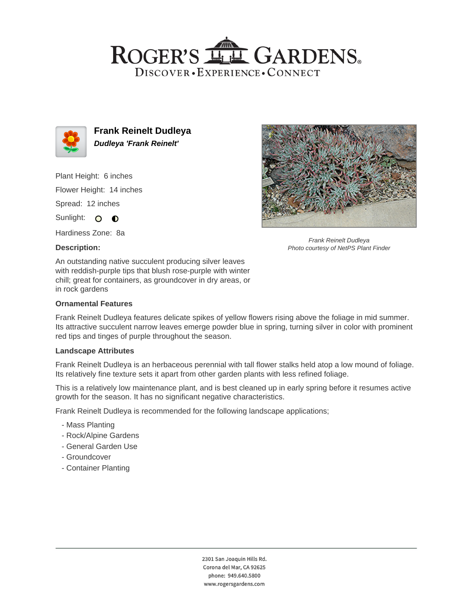## ROGER'S LL GARDENS. DISCOVER · EXPERIENCE · CONNECT



**Frank Reinelt Dudleya Dudleya 'Frank Reinelt'**

Plant Height: 6 inches

Flower Height: 14 inches

Spread: 12 inches

Sunlight: O **O** 

Hardiness Zone: 8a

#### **Description:**



Frank Reinelt Dudleya Photo courtesy of NetPS Plant Finder

An outstanding native succulent producing silver leaves with reddish-purple tips that blush rose-purple with winter chill; great for containers, as groundcover in dry areas, or in rock gardens

### **Ornamental Features**

Frank Reinelt Dudleya features delicate spikes of yellow flowers rising above the foliage in mid summer. Its attractive succulent narrow leaves emerge powder blue in spring, turning silver in color with prominent red tips and tinges of purple throughout the season.

#### **Landscape Attributes**

Frank Reinelt Dudleya is an herbaceous perennial with tall flower stalks held atop a low mound of foliage. Its relatively fine texture sets it apart from other garden plants with less refined foliage.

This is a relatively low maintenance plant, and is best cleaned up in early spring before it resumes active growth for the season. It has no significant negative characteristics.

Frank Reinelt Dudleya is recommended for the following landscape applications;

- Mass Planting
- Rock/Alpine Gardens
- General Garden Use
- Groundcover
- Container Planting

2301 San Joaquin Hills Rd. Corona del Mar, CA 92625 phone: 949.640.5800 www.rogersgardens.com